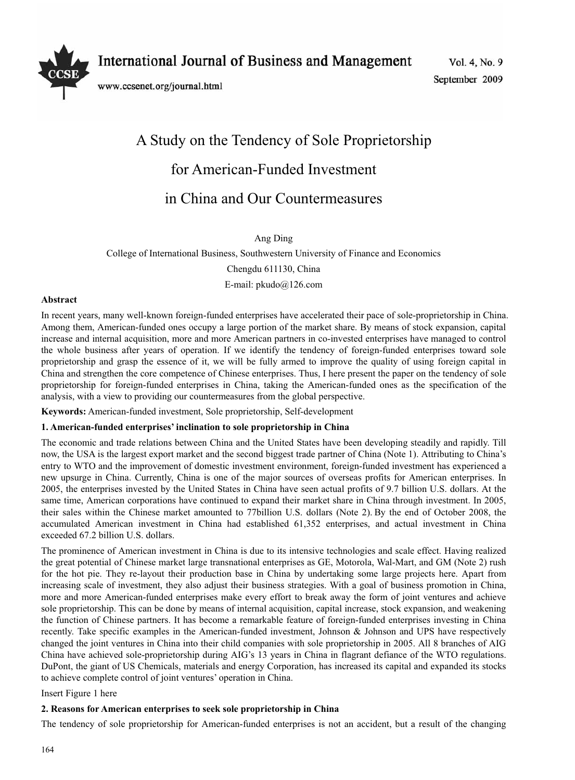**International Journal of Business and Management** 



www.ccsenet.org/journal.html

Vol. 4, No. 9 September 2009

# A Study on the Tendency of Sole Proprietorship for American-Funded Investment in China and Our Countermeasures

# Ang Ding

College of International Business, Southwestern University of Finance and Economics

Chengdu 611130, China

E-mail: pkudo@126.com

# **Abstract**

In recent years, many well-known foreign-funded enterprises have accelerated their pace of sole-proprietorship in China. Among them, American-funded ones occupy a large portion of the market share. By means of stock expansion, capital increase and internal acquisition, more and more American partners in co-invested enterprises have managed to control the whole business after years of operation. If we identify the tendency of foreign-funded enterprises toward sole proprietorship and grasp the essence of it, we will be fully armed to improve the quality of using foreign capital in China and strengthen the core competence of Chinese enterprises. Thus, I here present the paper on the tendency of sole proprietorship for foreign-funded enterprises in China, taking the American-funded ones as the specification of the analysis, with a view to providing our countermeasures from the global perspective.

**Keywords:** American-funded investment, Sole proprietorship, Self-development

# **1. American-funded enterprises' inclination to sole proprietorship in China**

The economic and trade relations between China and the United States have been developing steadily and rapidly. Till now, the USA is the largest export market and the second biggest trade partner of China (Note 1). Attributing to China's entry to WTO and the improvement of domestic investment environment, foreign-funded investment has experienced a new upsurge in China. Currently, China is one of the major sources of overseas profits for American enterprises. In 2005, the enterprises invested by the United States in China have seen actual profits of 9.7 billion U.S. dollars. At the same time, American corporations have continued to expand their market share in China through investment. In 2005, their sales within the Chinese market amounted to 77billion U.S. dollars (Note 2). By the end of October 2008, the accumulated American investment in China had established 61,352 enterprises, and actual investment in China exceeded 67.2 billion U.S. dollars.

The prominence of American investment in China is due to its intensive technologies and scale effect. Having realized the great potential of Chinese market large transnational enterprises as GE, Motorola, Wal-Mart, and GM (Note 2) rush for the hot pie. They re-layout their production base in China by undertaking some large projects here. Apart from increasing scale of investment, they also adjust their business strategies. With a goal of business promotion in China, more and more American-funded enterprises make every effort to break away the form of joint ventures and achieve sole proprietorship. This can be done by means of internal acquisition, capital increase, stock expansion, and weakening the function of Chinese partners. It has become a remarkable feature of foreign-funded enterprises investing in China recently. Take specific examples in the American-funded investment, Johnson & Johnson and UPS have respectively changed the joint ventures in China into their child companies with sole proprietorship in 2005. All 8 branches of AIG China have achieved sole-proprietorship during AIG's 13 years in China in flagrant defiance of the WTO regulations. DuPont, the giant of US Chemicals, materials and energy Corporation, has increased its capital and expanded its stocks to achieve complete control of joint ventures' operation in China.

# Insert Figure 1 here

# **2. Reasons for American enterprises to seek sole proprietorship in China**

The tendency of sole proprietorship for American-funded enterprises is not an accident, but a result of the changing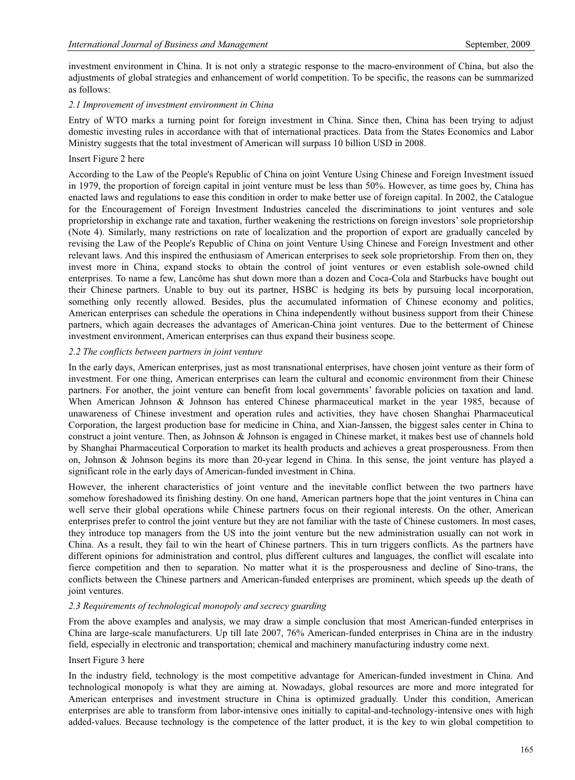investment environment in China. It is not only a strategic response to the macro-environment of China, but also the adjustments of global strategies and enhancement of world competition. To be specific, the reasons can be summarized as follows:

#### *2.1 Improvement of investment environment in China*

Entry of WTO marks a turning point for foreign investment in China. Since then, China has been trying to adjust domestic investing rules in accordance with that of international practices. Data from the States Economics and Labor Ministry suggests that the total investment of American will surpass 10 billion USD in 2008.

## Insert Figure 2 here

According to the Law of the People's Republic of China on joint Venture Using Chinese and Foreign Investment issued in 1979, the proportion of foreign capital in joint venture must be less than 50%. However, as time goes by, China has enacted laws and regulations to ease this condition in order to make better use of foreign capital. In 2002, the Catalogue for the Encouragement of Foreign Investment Industries canceled the discriminations to joint ventures and sole proprietorship in exchange rate and taxation, further weakening the restrictions on foreign investors' sole proprietorship (Note 4). Similarly, many restrictions on rate of localization and the proportion of export are gradually canceled by revising the Law of the People's Republic of China on joint Venture Using Chinese and Foreign Investment and other relevant laws. And this inspired the enthusiasm of American enterprises to seek sole proprietorship. From then on, they invest more in China, expand stocks to obtain the control of joint ventures or even establish sole-owned child enterprises. To name a few, Lancôme has shut down more than a dozen and Coca-Cola and Starbucks have bought out their Chinese partners. Unable to buy out its partner, HSBC is hedging its bets by pursuing local incorporation, something only recently allowed. Besides, plus the accumulated information of Chinese economy and politics, American enterprises can schedule the operations in China independently without business support from their Chinese partners, which again decreases the advantages of American-China joint ventures. Due to the betterment of Chinese investment environment, American enterprises can thus expand their business scope.

#### *2.2 The conflicts between partners in joint venture*

In the early days, American enterprises, just as most transnational enterprises, have chosen joint venture as their form of investment. For one thing, American enterprises can learn the cultural and economic environment from their Chinese partners. For another, the joint venture can benefit from local governments' favorable policies on taxation and land. When American Johnson & Johnson has entered Chinese pharmaceutical market in the year 1985, because of unawareness of Chinese investment and operation rules and activities, they have chosen Shanghai Pharmaceutical Corporation, the largest production base for medicine in China, and Xian-Janssen, the biggest sales center in China to construct a joint venture. Then, as Johnson & Johnson is engaged in Chinese market, it makes best use of channels hold by Shanghai Pharmaceutical Corporation to market its health products and achieves a great prosperousness. From then on, Johnson & Johnson begins its more than 20-year legend in China. In this sense, the joint venture has played a significant role in the early days of American-funded investment in China.

However, the inherent characteristics of joint venture and the inevitable conflict between the two partners have somehow foreshadowed its finishing destiny. On one hand, American partners hope that the joint ventures in China can well serve their global operations while Chinese partners focus on their regional interests. On the other, American enterprises prefer to control the joint venture but they are not familiar with the taste of Chinese customers. In most cases, they introduce top managers from the US into the joint venture but the new administration usually can not work in China. As a result, they fail to win the heart of Chinese partners. This in turn triggers conflicts. As the partners have different opinions for administration and control, plus different cultures and languages, the conflict will escalate into fierce competition and then to separation. No matter what it is the prosperousness and decline of Sino-trans, the conflicts between the Chinese partners and American-funded enterprises are prominent, which speeds up the death of joint ventures.

#### *2.3 Requirements of technological monopoly and secrecy guarding*

From the above examples and analysis, we may draw a simple conclusion that most American-funded enterprises in China are large-scale manufacturers. Up till late 2007, 76% American-funded enterprises in China are in the industry field, especially in electronic and transportation; chemical and machinery manufacturing industry come next.

#### Insert Figure 3 here

In the industry field, technology is the most competitive advantage for American-funded investment in China. And technological monopoly is what they are aiming at. Nowadays, global resources are more and more integrated for American enterprises and investment structure in China is optimized gradually. Under this condition, American enterprises are able to transform from labor-intensive ones initially to capital-and-technology-intensive ones with high added-values. Because technology is the competence of the latter product, it is the key to win global competition to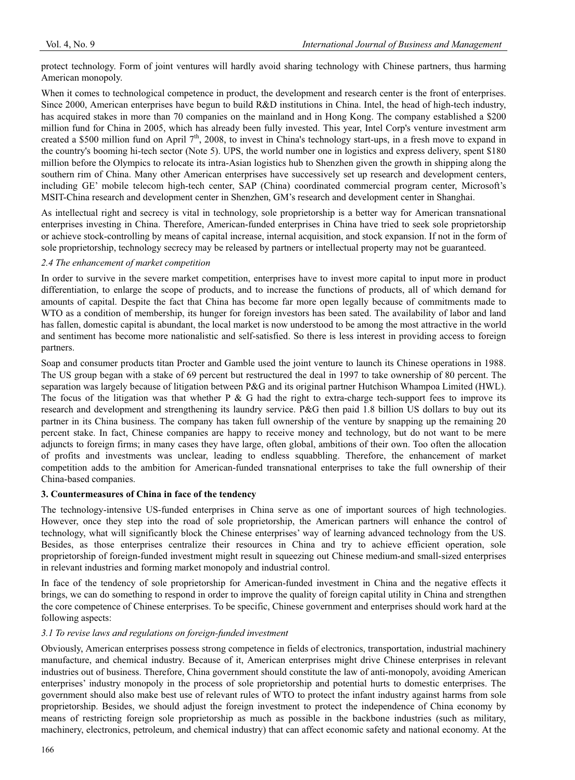protect technology. Form of joint ventures will hardly avoid sharing technology with Chinese partners, thus harming American monopoly.

When it comes to technological competence in product, the development and research center is the front of enterprises. Since 2000, American enterprises have begun to build R&D institutions in China. Intel, the head of high-tech industry, has acquired stakes in more than 70 companies on the mainland and in Hong Kong. The company established a \$200 million fund for China in 2005, which has already been fully invested. This year, Intel Corp's venture investment arm created a \$500 million fund on April 7<sup>th</sup>, 2008, to invest in China's technology start-ups, in a fresh move to expand in the country's booming hi-tech sector (Note 5). UPS, the world number one in logistics and express delivery, spent \$180 million before the Olympics to relocate its intra-Asian logistics hub to Shenzhen given the growth in shipping along the southern rim of China. Many other American enterprises have successively set up research and development centers, including GE' mobile telecom high-tech center, SAP (China) coordinated commercial program center, Microsoft's MSIT-China research and development center in Shenzhen, GM's research and development center in Shanghai.

As intellectual right and secrecy is vital in technology, sole proprietorship is a better way for American transnational enterprises investing in China. Therefore, American-funded enterprises in China have tried to seek sole proprietorship or achieve stock-controlling by means of capital increase, internal acquisition, and stock expansion. If not in the form of sole proprietorship, technology secrecy may be released by partners or intellectual property may not be guaranteed.

## *2.4 The enhancement of market competition*

In order to survive in the severe market competition, enterprises have to invest more capital to input more in product differentiation, to enlarge the scope of products, and to increase the functions of products, all of which demand for amounts of capital. Despite the fact that China has become far more open legally because of commitments made to WTO as a condition of membership, its hunger for foreign investors has been sated. The availability of labor and land has fallen, domestic capital is abundant, the local market is now understood to be among the most attractive in the world and sentiment has become more nationalistic and self-satisfied. So there is less interest in providing access to foreign partners.

Soap and consumer products titan Procter and Gamble used the joint venture to launch its Chinese operations in 1988. The US group began with a stake of 69 percent but restructured the deal in 1997 to take ownership of 80 percent. The separation was largely because of litigation between P&G and its original partner Hutchison Whampoa Limited (HWL). The focus of the litigation was that whether P  $\&$  G had the right to extra-charge tech-support fees to improve its research and development and strengthening its laundry service. P&G then paid 1.8 billion US dollars to buy out its partner in its China business. The company has taken full ownership of the venture by snapping up the remaining 20 percent stake. In fact, Chinese companies are happy to receive money and technology, but do not want to be mere adjuncts to foreign firms; in many cases they have large, often global, ambitions of their own. Too often the allocation of profits and investments was unclear, leading to endless squabbling. Therefore, the enhancement of market competition adds to the ambition for American-funded transnational enterprises to take the full ownership of their China-based companies.

# **3. Countermeasures of China in face of the tendency**

The technology-intensive US-funded enterprises in China serve as one of important sources of high technologies. However, once they step into the road of sole proprietorship, the American partners will enhance the control of technology, what will significantly block the Chinese enterprises' way of learning advanced technology from the US. Besides, as those enterprises centralize their resources in China and try to achieve efficient operation, sole proprietorship of foreign-funded investment might result in squeezing out Chinese medium-and small-sized enterprises in relevant industries and forming market monopoly and industrial control.

In face of the tendency of sole proprietorship for American-funded investment in China and the negative effects it brings, we can do something to respond in order to improve the quality of foreign capital utility in China and strengthen the core competence of Chinese enterprises. To be specific, Chinese government and enterprises should work hard at the following aspects:

# *3.1 To revise laws and regulations on foreign-funded investment*

Obviously, American enterprises possess strong competence in fields of electronics, transportation, industrial machinery manufacture, and chemical industry. Because of it, American enterprises might drive Chinese enterprises in relevant industries out of business. Therefore, China government should constitute the law of anti-monopoly, avoiding American enterprises' industry monopoly in the process of sole proprietorship and potential hurts to domestic enterprises. The government should also make best use of relevant rules of WTO to protect the infant industry against harms from sole proprietorship. Besides, we should adjust the foreign investment to protect the independence of China economy by means of restricting foreign sole proprietorship as much as possible in the backbone industries (such as military, machinery, electronics, petroleum, and chemical industry) that can affect economic safety and national economy. At the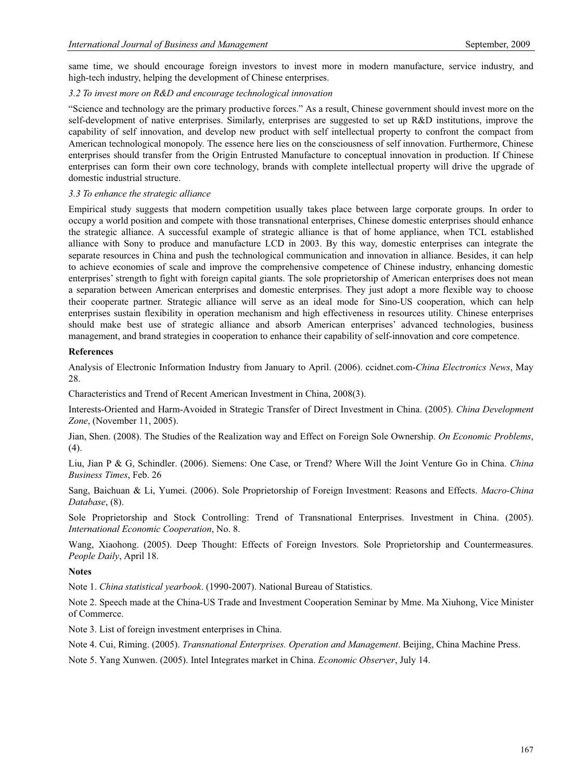same time, we should encourage foreign investors to invest more in modern manufacture, service industry, and high-tech industry, helping the development of Chinese enterprises.

## *3.2 To invest more on R&D and encourage technological innovation*

"Science and technology are the primary productive forces." As a result, Chinese government should invest more on the self-development of native enterprises. Similarly, enterprises are suggested to set up R&D institutions, improve the capability of self innovation, and develop new product with self intellectual property to confront the compact from American technological monopoly. The essence here lies on the consciousness of self innovation. Furthermore, Chinese enterprises should transfer from the Origin Entrusted Manufacture to conceptual innovation in production. If Chinese enterprises can form their own core technology, brands with complete intellectual property will drive the upgrade of domestic industrial structure.

## *3.3 To enhance the strategic alliance*

Empirical study suggests that modern competition usually takes place between large corporate groups. In order to occupy a world position and compete with those transnational enterprises, Chinese domestic enterprises should enhance the strategic alliance. A successful example of strategic alliance is that of home appliance, when TCL established alliance with Sony to produce and manufacture LCD in 2003. By this way, domestic enterprises can integrate the separate resources in China and push the technological communication and innovation in alliance. Besides, it can help to achieve economies of scale and improve the comprehensive competence of Chinese industry, enhancing domestic enterprises' strength to fight with foreign capital giants. The sole proprietorship of American enterprises does not mean a separation between American enterprises and domestic enterprises. They just adopt a more flexible way to choose their cooperate partner. Strategic alliance will serve as an ideal mode for Sino-US cooperation, which can help enterprises sustain flexibility in operation mechanism and high effectiveness in resources utility. Chinese enterprises should make best use of strategic alliance and absorb American enterprises' advanced technologies, business management, and brand strategies in cooperation to enhance their capability of self-innovation and core competence.

## **References**

Analysis of Electronic Information Industry from January to April. (2006). ccidnet.com-*China Electronics News*, May 28.

Characteristics and Trend of Recent American Investment in China, 2008(3).

Interests-Oriented and Harm-Avoided in Strategic Transfer of Direct Investment in China. (2005). *China Development Zone*, (November 11, 2005).

Jian, Shen. (2008). The Studies of the Realization way and Effect on Foreign Sole Ownership. *On Economic Problems*,  $(4)$ .

Liu, Jian P & G, Schindler. (2006). Siemens: One Case, or Trend? Where Will the Joint Venture Go in China. *China Business Times*, Feb. 26

Sang, Baichuan & Li, Yumei. (2006). Sole Proprietorship of Foreign Investment: Reasons and Effects. *Macro-China Database*, (8).

Sole Proprietorship and Stock Controlling: Trend of Transnational Enterprises. Investment in China. (2005). *International Economic Cooperation*, No. 8.

Wang, Xiaohong. (2005). Deep Thought: Effects of Foreign Investors. Sole Proprietorship and Countermeasures. *People Daily*, April 18.

#### **Notes**

Note 1. *China statistical yearbook*. (1990-2007). National Bureau of Statistics.

Note 2. Speech made at the China-US Trade and Investment Cooperation Seminar by Mme. Ma Xiuhong, Vice Minister of Commerce.

Note 3. List of foreign investment enterprises in China.

Note 4. Cui, Riming. (2005). *Transnational Enterprises. Operation and Management*. Beijing, China Machine Press.

Note 5. Yang Xunwen. (2005). Intel Integrates market in China. *Economic Observer*, July 14.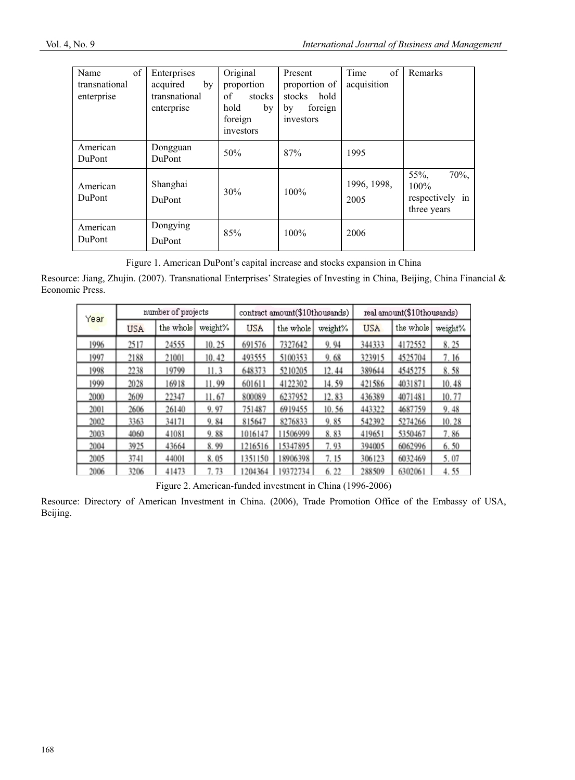| of<br>Name<br>transnational<br>enterprise | Enterprises<br>acquired<br>by<br>transnational<br>enterprise | Original<br>proportion<br>of<br>stocks<br>hold<br>by<br>foreign<br>investors | Present<br>proportion of<br>hold<br>stocks<br>foreign<br>by<br>investors | of<br>Time<br>acquisition | Remarks                                                   |
|-------------------------------------------|--------------------------------------------------------------|------------------------------------------------------------------------------|--------------------------------------------------------------------------|---------------------------|-----------------------------------------------------------|
| American<br>DuPont                        | Dongguan<br><b>DuPont</b>                                    | 50%                                                                          | 87%                                                                      | 1995                      |                                                           |
| American<br>DuPont                        | Shanghai<br><b>DuPont</b>                                    | 30%                                                                          | $100\%$                                                                  | 1996, 1998,<br>2005       | 55%,<br>70%,<br>$100\%$<br>respectively in<br>three years |
| American<br>DuPont                        | Dongying<br><b>DuPont</b>                                    | 85%                                                                          | $100\%$                                                                  | 2006                      |                                                           |

Figure 1. American DuPont's capital increase and stocks expansion in China

Resource: Jiang, Zhujin. (2007). Transnational Enterprises' Strategies of Investing in China, Beijing, China Financial & Economic Press.

| Year | number of projects |           |         | contract amount(\$10thousands) |           |         | real amount(\$10thousands) |           |         |
|------|--------------------|-----------|---------|--------------------------------|-----------|---------|----------------------------|-----------|---------|
|      | <b>USA</b>         | the whole | weight% | USA                            | the whole | weight% | <b>USA</b>                 | the whole | weight% |
| 1996 | 2517               | 24555     | 10.25   | 691576                         | 7327642   | 9.94    | 344333                     | 4172552   | 8.25    |
| 1997 | 2188               | 21001     | 10.42   | 493555                         | 5100353   | 9.68    | 323915                     | 4525704   | 7.16    |
| 1998 | 2238               | 19799     | 11.3    | 648373                         | 5210205   | 12.44   | 389644                     | 4545275   | 8.58    |
| 1999 | 2028               | 16918     | 11.99   | 601611                         | 4122302   | 14.59   | 421586                     | 4031871   | 10.48   |
| 2000 | 2609               | 22347     | 11.67   | 800089                         | 6237952   | 12.83   | 436389                     | 4071481   | 10.77   |
| 2001 | 2606               | 26140     | 9.97    | 751487                         | 6919455   | 10.56   | 443322                     | 4687759   | 9.48    |
| 2002 | 3363               | 34171     | 9.84    | 815647                         | 8276833   | 9.85    | 542392                     | 5274266   | 10.28   |
| 2003 | 4060               | 41081     | 9,88    | 1016147                        | 1506999   | 8.83    | 419651                     | 5350467   | 7.86    |
| 2004 | 3925               | 43664     | 8.99    | 1216516                        | 15347895  | 7.93    | 394005                     | 6062996   | 6.50    |
| 2005 | 3741               | 44001     | 8.05    | 1351150                        | 18906398  | 7.15    | 306123                     | 6032469   | 5.07    |
| 2006 | 3206               | 41473     | 7.73    | 1204364                        | 9372734   | 6.22    | 288509                     | 6302061   | 4.55    |

Figure 2. American-funded investment in China (1996-2006)

Resource: Directory of American Investment in China. (2006), Trade Promotion Office of the Embassy of USA, Beijing.